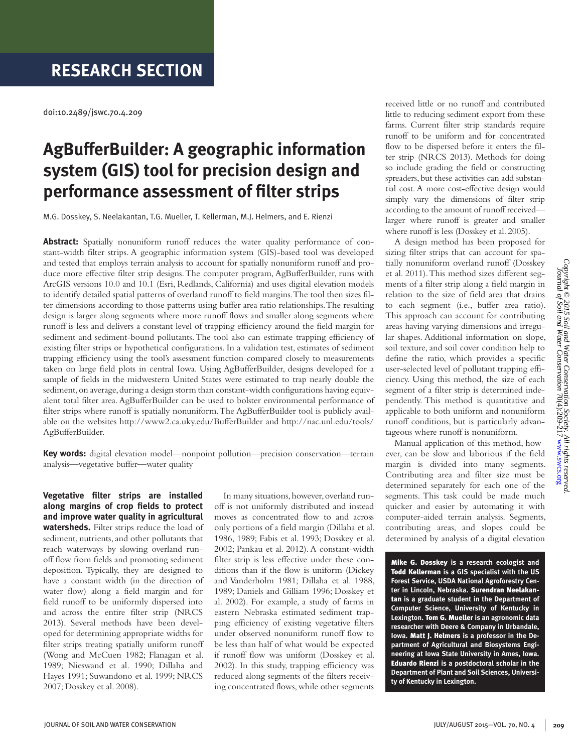## **RESEARCH SECTION**

doi:10.2489/jswc.70.4.209

# **AgBufferBuilder: A geographic information system (GIS) tool for precision design and performance assessment of filter strips**

M.G. Dosskey, S. Neelakantan, T.G. Mueller, T. Kellerman, M.J. Helmers, and E. Rienzi

**Abstract:** Spatially nonuniform runoff reduces the water quality performance of constant-width filter strips. A geographic information system (GIS)-based tool was developed and tested that employs terrain analysis to account for spatially nonuniform runoff and produce more effective filter strip designs. The computer program, AgBufferBuilder, runs with ArcGIS versions 10.0 and 10.1 (Esri, Redlands, California) and uses digital elevation models to identify detailed spatial patterns of overland runoff to field margins. The tool then sizes filter dimensions according to those patterns using buffer area ratio relationships. The resulting design is larger along segments where more runoff flows and smaller along segments where runoff is less and delivers a constant level of trapping efficiency around the field margin for sediment and sediment-bound pollutants. The tool also can estimate trapping efficiency of existing filter strips or hypothetical configurations. In a validation test, estimates of sediment trapping efficiency using the tool's assessment function compared closely to measurements taken on large field plots in central Iowa. Using AgBufferBuilder, designs developed for a sample of fields in the midwestern United States were estimated to trap nearly double the sediment, on average, during a design storm than constant-width configurations having equivalent total filter area. AgBufferBuilder can be used to bolster environmental performance of filter strips where runoff is spatially nonuniform. The AgBufferBuilder tool is publicly available on the websites http://www2.ca.uky.edu/BufferBuilder and http://nac.unl.edu/tools/ AgBufferBuilder.

**Key words:** digital elevation model—nonpoint pollution—precision conservation—terrain analysis—vegetative buffer—water quality

**Vegetative filter strips are installed along margins of crop fields to protect and improve water quality in agricultural watersheds.** Filter strips reduce the load of sediment, nutrients, and other pollutants that reach waterways by slowing overland runoff flow from fields and promoting sediment deposition. Typically, they are designed to have a constant width (in the direction of water flow) along a field margin and for field runoff to be uniformly dispersed into and across the entire filter strip (NRCS 2013). Several methods have been developed for determining appropriate widths for filter strips treating spatially uniform runoff (Wong and McCuen 1982; Flanagan et al. 1989; Nieswand et al. 1990; Dillaha and Hayes 1991; Suwandono et al. 1999; NRCS 2007; Dosskey et al. 2008).

In many situations, however, overland runoff is not uniformly distributed and instead moves as concentrated flow to and across only portions of a field margin (Dillaha et al. 1986, 1989; Fabis et al. 1993; Dosskey et al. 2002; Pankau et al. 2012). A constant-width filter strip is less effective under these conditions than if the flow is uniform (Dickey and Vanderholm 1981; Dillaha et al. 1988, 1989; Daniels and Gilliam 1996; Dosskey et al. 2002). For example, a study of farms in eastern Nebraska estimated sediment trapping efficiency of existing vegetative filters under observed nonuniform runoff flow to be less than half of what would be expected if runoff flow was uniform (Dosskey et al. 2002). In this study, trapping efficiency was reduced along segments of the filters receiving concentrated flows, while other segments received little or no runoff and contributed little to reducing sediment export from these farms. Current filter strip standards require runoff to be uniform and for concentrated flow to be dispersed before it enters the filter strip (NRCS 2013). Methods for doing so include grading the field or constructing spreaders, but these activities can add substantial cost. A more cost-effective design would simply vary the dimensions of filter strip according to the amount of runoff received larger where runoff is greater and smaller where runoff is less (Dosskey et al. 2005).

A design method has been proposed for sizing filter strips that can account for spatially nonuniform overland runoff (Dosskey et al. 2011). This method sizes different segments of a filter strip along a field margin in relation to the size of field area that drains to each segment (i.e., buffer area ratio). This approach can account for contributing areas having varying dimensions and irregular shapes. Additional information on slope, soil texture, and soil cover condition help to define the ratio, which provides a specific user-selected level of pollutant trapping efficiency. Using this method, the size of each segment of a filter strip is determined independently. This method is quantitative and applicable to both uniform and nonuniform runoff conditions, but is particularly advantageous where runoff is nonuniform.

Manual application of this method, however, can be slow and laborious if the field margin is divided into many segments. Contributing area and filter size must be determined separately for each one of the segments. This task could be made much quicker and easier by automating it with computer-aided terrain analysis. Segments, contributing areas, and slopes could be determined by analysis of a digital elevation

Mike G. Dosskey **is a research ecologist and**  Todd Kellerman **is a GIS specialist with the US Forest Service, USDA National Agroforestry Center in Lincoln, Nebraska.** Surendran Neelakantan **is a graduate student in the Department of Computer Science, University of Kentucky in Lexington.** Tom G. Mueller **is an agronomic data researcher with Deere & Company in Urbandale, Iowa.** Matt J. Helmers **is a professor in the Department of Agricultural and Biosystems Engineering at Iowa State University in Ames, Iowa.**  Eduardo Rienzi **is a postdoctoral scholar in the Department of Plant and Soil Sciences, University of Kentucky in Lexington.**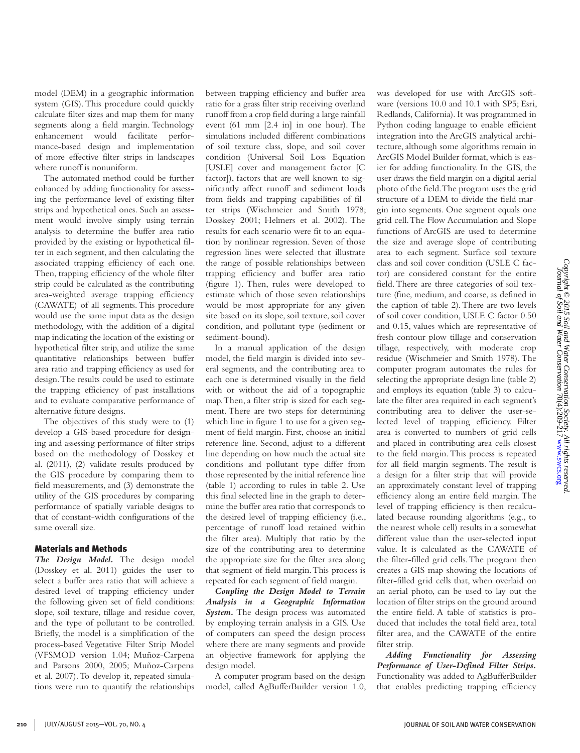*Copyright © 2015 Soil and Water Conservation Society. All rights reserved.*

model (DEM) in a geographic information system (GIS). This procedure could quickly calculate filter sizes and map them for many segments along a field margin. Technology enhancement would facilitate performance-based design and implementation of more effective filter strips in landscapes where runoff is nonuniform.

The automated method could be further enhanced by adding functionality for assessing the performance level of existing filter strips and hypothetical ones. Such an assessment would involve simply using terrain analysis to determine the buffer area ratio provided by the existing or hypothetical filter in each segment, and then calculating the associated trapping efficiency of each one. Then, trapping efficiency of the whole filter strip could be calculated as the contributing area-weighted average trapping efficiency (CAWATE) of all segments. This procedure would use the same input data as the design methodology, with the addition of a digital map indicating the location of the existing or hypothetical filter strip, and utilize the same quantitative relationships between buffer area ratio and trapping efficiency as used for design. The results could be used to estimate the trapping efficiency of past installations and to evaluate comparative performance of alternative future designs.

The objectives of this study were to (1) develop a GIS-based procedure for designing and assessing performance of filter strips based on the methodology of Dosskey et al. (2011), (2) validate results produced by the GIS procedure by comparing them to field measurements, and (3) demonstrate the utility of the GIS procedures by comparing performance of spatially variable designs to that of constant-width configurations of the same overall size.

#### Materials and Methods

*The Design Model.* The design model (Dosskey et al. 2011) guides the user to select a buffer area ratio that will achieve a desired level of trapping efficiency under the following given set of field conditions: slope, soil texture, tillage and residue cover, and the type of pollutant to be controlled. Briefly, the model is a simplification of the process-based Vegetative Filter Strip Model (VFSMOD version 1.04; Muñoz-Carpena and Parsons 2000, 2005; Muñoz-Carpena et al. 2007). To develop it, repeated simulations were run to quantify the relationships between trapping efficiency and buffer area ratio for a grass filter strip receiving overland runoff from a crop field during a large rainfall event (61 mm [2.4 in] in one hour). The simulations included different combinations of soil texture class, slope, and soil cover condition (Universal Soil Loss Equation [USLE] cover and management factor [C factor]), factors that are well known to significantly affect runoff and sediment loads from fields and trapping capabilities of filter strips (Wischmeier and Smith 1978; Dosskey 2001; Helmers et al. 2002). The results for each scenario were fit to an equation by nonlinear regression. Seven of those regression lines were selected that illustrate the range of possible relationships between trapping efficiency and buffer area ratio (figure 1). Then, rules were developed to estimate which of those seven relationships would be most appropriate for any given site based on its slope, soil texture, soil cover condition, and pollutant type (sediment or sediment-bound).

In a manual application of the design model, the field margin is divided into several segments, and the contributing area to each one is determined visually in the field with or without the aid of a topographic map. Then, a filter strip is sized for each segment. There are two steps for determining which line in figure 1 to use for a given segment of field margin. First, choose an initial reference line. Second, adjust to a different line depending on how much the actual site conditions and pollutant type differ from those represented by the initial reference line (table 1) according to rules in table 2. Use this final selected line in the graph to determine the buffer area ratio that corresponds to the desired level of trapping efficiency (i.e., percentage of runoff load retained within the filter area). Multiply that ratio by the size of the contributing area to determine the appropriate size for the filter area along that segment of field margin. This process is repeated for each segment of field margin.

*Coupling the Design Model to Terrain Analysis in a Geographic Information System.* The design process was automated by employing terrain analysis in a GIS. Use of computers can speed the design process where there are many segments and provide an objective framework for applying the design model.

A computer program based on the design model, called AgBufferBuilder version 1.0, ware (versions 10.0 and 10.1 with SP5; Esri, Redlands, California). It was programmed in Python coding language to enable efficient integration into the ArcGIS analytical architecture, although some algorithms remain in ArcGIS Model Builder format, which is easier for adding functionality. In the GIS, the user draws the field margin on a digital aerial photo of the field. The program uses the grid structure of a DEM to divide the field margin into segments. One segment equals one grid cell. The Flow Accumulation and Slope functions of ArcGIS are used to determine the size and average slope of contributing area to each segment. Surface soil texture class and soil cover condition (USLE C factor) are considered constant for the entire field. There are three categories of soil texture (fine, medium, and coarse, as defined in the caption of table 2). There are two levels of soil cover condition, USLE C factor 0.50 and 0.15, values which are representative of fresh contour plow tillage and conservation tillage, respectively, with moderate crop residue (Wischmeier and Smith 1978). The computer program automates the rules for selecting the appropriate design line (table 2) and employs its equation (table 3) to calculate the filter area required in each segment's contributing area to deliver the user-selected level of trapping efficiency. Filter area is converted to numbers of grid cells and placed in contributing area cells closest to the field margin. This process is repeated for all field margin segments. The result is a design for a filter strip that will provide an approximately constant level of trapping efficiency along an entire field margin. The level of trapping efficiency is then recalculated because rounding algorithms (e.g., to the nearest whole cell) results in a somewhat different value than the user-selected input value. It is calculated as the CAWATE of the filter-filled grid cells. The program then creates a GIS map showing the locations of filter-filled grid cells that, when overlaid on an aerial photo, can be used to lay out the location of filter strips on the ground around the entire field. A table of statistics is produced that includes the total field area, total filter area, and the CAWATE of the entire filter strip.

was developed for use with ArcGIS soft-

*Adding Functionality for Assessing Performance of User-Defined Filter Strips.*  Functionality was added to AgBufferBuilder that enables predicting trapping efficiency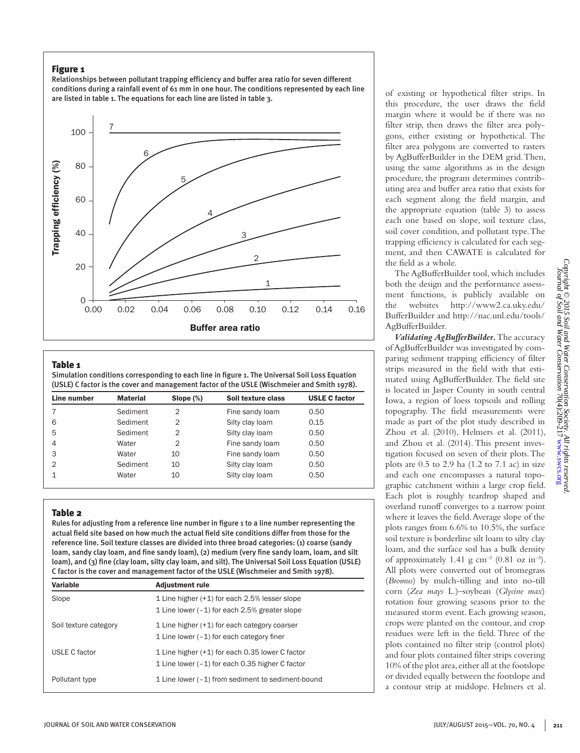#### Figure 1

Relationships between pollutant trapping efficiency and buffer area ratio for seven different conditions during a rainfall event of 61 mm in one hour. The conditions represented by each line are listed in table 1. The equations for each line are listed in table 3.



#### Table 1

Simulation conditions corresponding to each line in figure 1. The Universal Soil Loss Equation (USLE) C factor is the cover and management factor of the USLE (Wischmeier and Smith 1978).

|          | Slope $(\%)$   | Soil texture class | <b>USLE C factor</b> |
|----------|----------------|--------------------|----------------------|
| Sediment | $\overline{2}$ | Fine sandy loam    | 0.50                 |
| Sediment | $\overline{2}$ | Silty clay loam    | 0.15                 |
| Sediment | $\overline{2}$ | Silty clay loam    | 0.50                 |
| Water    | $\overline{2}$ | Fine sandy loam    | 0.50                 |
| Water    | 10             | Fine sandy loam    | 0.50                 |
| Sediment | 10             | Silty clay loam    | 0.50                 |
| Water    | 10             | Silty clay loam    | 0.50                 |
|          |                |                    |                      |

#### Table 2

Rules for adjusting from a reference line number in figure 1 to a line number representing the actual field site based on how much the actual field site conditions differ from those for the reference line. Soil texture classes are divided into three broad categories: (1) coarse (sandy loam, sandy clay loam, and fine sandy loam), (2) medium (very fine sandy loam, loam, and silt loam), and (3) fine (clay loam, silty clay loam, and silt). The Universal Soil Loss Equation (USLE) C factor is the cover and management factor of the USLE (Wischmeier and Smith 1978).

| Variable              | <b>Adjustment rule</b>                                                                             |
|-----------------------|----------------------------------------------------------------------------------------------------|
| Slope                 | 1 Line higher (+1) for each 2.5% lesser slope<br>1 Line lower $(-1)$ for each 2.5% greater slope   |
| Soil texture category | 1 Line higher (+1) for each category coarser<br>1 Line lower $(-1)$ for each category finer        |
| USLE C factor         | 1 Line higher (+1) for each 0.35 lower C factor<br>1 Line lower (-1) for each 0.35 higher C factor |
| Pollutant type        | 1 Line lower (-1) from sediment to sediment-bound                                                  |

of existing or hypothetical filter strips. In this procedure, the user draws the field margin where it would be if there was no filter strip, then draws the filter area polygons, either existing or hypothetical. The filter area polygons are converted to rasters by AgBufferBuilder in the DEM grid. Then, using the same algorithms as in the design procedure, the program determines contributing area and buffer area ratio that exists for each segment along the field margin, and the appropriate equation (table 3) to assess each one based on slope, soil texture class, soil cover condition, and pollutant type. The trapping efficiency is calculated for each segment, and then CAWATE is calculated for the field as a whole.

The AgBufferBuilder tool, which includes both the design and the performance assessment functions, is publicly available on the websites http://www2.ca.uky.edu/ BufferBuilder and http://nac.unl.edu/tools/ AgBufferBuilder.

*Validating AgBufferBuilder.* The accuracy of AgBufferBuilder was investigated by comparing sediment trapping efficiency of filter strips measured in the field with that estimated using AgBufferBuilder. The field site is located in Jasper County in south central Iowa, a region of loess topsoils and rolling topography. The field measurements were made as part of the plot study described in Zhou et al. (2010), Helmers et al. (2011), and Zhou et al. (2014). This present investigation focused on seven of their plots. The plots are  $0.5$  to  $2.9$  ha  $(1.2$  to  $7.1$  ac) in size and each one encompasses a natural topographic catchment within a large crop field. Each plot is roughly teardrop shaped and overland runoff converges to a narrow point where it leaves the field. Average slope of the plots ranges from 6.6% to 10.5%, the surface soil texture is borderline silt loam to silty clay loam, and the surface soil has a bulk density of approximately 1.41 g cm<sup>-3</sup> (0.81 oz in<sup>-3</sup>). All plots were converted out of bromegrass (*Bromus*) by mulch-tilling and into no-till corn (*Zea mays* L.)–soybean (*Glycine max*) rotation four growing seasons prior to the measured storm event. Each growing season, crops were planted on the contour, and crop residues were left in the field. Three of the plots contained no filter strip (control plots) and four plots contained filter strips covering 10% of the plot area, either all at the footslope or divided equally between the footslope and a contour strip at midslope. Helmers et al.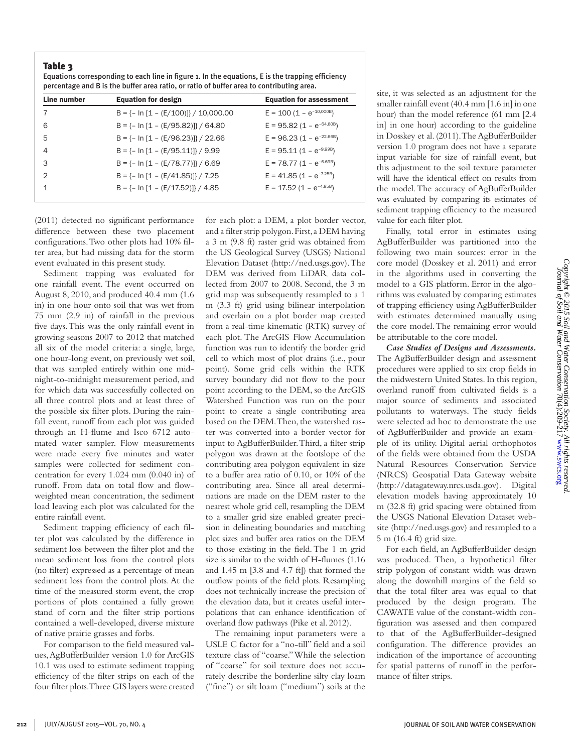#### Table 3

| Equations corresponding to each line in figure 1. In the equations, E is the trapping efficiency |
|--------------------------------------------------------------------------------------------------|
| percentage and B is the buffer area ratio, or ratio of buffer area to contributing area.         |

| <b>Equation for design</b>                | <b>Equation for assessment</b> |
|-------------------------------------------|--------------------------------|
| $B = \{- \ln [1 - (E/100)]\} / 10,000.00$ | $E = 100 (1 - e^{-10,000B})$   |
| $B = \{- \ln [1 - (E/95.82)]\} / 64.80$   | $E = 95.82 (1 - e^{-64.80B})$  |
| $B = \{- \ln [1 - (E/96.23)]\} / 22.66$   | $E = 96.23 (1 - e^{-22.66B})$  |
| $B = \{- \ln [1 - (E/95.11)]\} / 9.99$    | $E = 95.11(1 - e^{-9.99B})$    |
| $B = \{-\ln[1 - (E/78.77)]\}$ / 6.69      | $E = 78.77 (1 - e^{-6.69B})$   |
| $B = \{- \ln [1 - (E/41.85)]\} / 7.25$    | $E = 41.85 (1 - e^{-7.25B})$   |
| $B = \{- \ln [1 - (E/17.52)]\} / 4.85$    | $E = 17.52 (1 - e^{-4.85B})$   |
|                                           |                                |

(2011) detected no significant performance difference between these two placement configurations. Two other plots had 10% filter area, but had missing data for the storm event evaluated in this present study.

Sediment trapping was evaluated for one rainfall event. The event occurred on August 8, 2010, and produced 40.4 mm (1.6 in) in one hour onto soil that was wet from 75 mm (2.9 in) of rainfall in the previous five days. This was the only rainfall event in growing seasons 2007 to 2012 that matched all six of the model criteria: a single, large, one hour-long event, on previously wet soil, that was sampled entirely within one midnight-to-midnight measurement period, and for which data was successfully collected on all three control plots and at least three of the possible six filter plots. During the rainfall event, runoff from each plot was guided through an H-flume and Isco 6712 automated water sampler. Flow measurements were made every five minutes and water samples were collected for sediment concentration for every 1.024 mm (0.040 in) of runoff. From data on total flow and flowweighted mean concentration, the sediment load leaving each plot was calculated for the entire rainfall event.

Sediment trapping efficiency of each filter plot was calculated by the difference in sediment loss between the filter plot and the mean sediment loss from the control plots (no filter) expressed as a percentage of mean sediment loss from the control plots. At the time of the measured storm event, the crop portions of plots contained a fully grown stand of corn and the filter strip portions contained a well-developed, diverse mixture of native prairie grasses and forbs.

For comparison to the field measured values, AgBufferBuilder version 1.0 for ArcGIS 10.1 was used to estimate sediment trapping efficiency of the filter strips on each of the four filter plots. Three GIS layers were created for each plot: a DEM, a plot border vector, and a filter strip polygon. First, a DEM having a 3 m (9.8 ft) raster grid was obtained from the US Geological Survey (USGS) National Elevation Dataset (http://ned.usgs.gov). The DEM was derived from LiDAR data collected from 2007 to 2008. Second, the 3 m grid map was subsequently resampled to a 1 m (3.3 ft) grid using bilinear interpolation and overlain on a plot border map created from a real-time kinematic (RTK) survey of each plot. The ArcGIS Flow Accumulation function was run to identify the border grid cell to which most of plot drains (i.e., pour point). Some grid cells within the RTK survey boundary did not flow to the pour point according to the DEM, so the ArcGIS Watershed Function was run on the pour point to create a single contributing area based on the DEM. Then, the watershed raster was converted into a border vector for input to AgBufferBuilder. Third, a filter strip polygon was drawn at the footslope of the contributing area polygon equivalent in size to a buffer area ratio of 0.10, or 10% of the contributing area. Since all areal determinations are made on the DEM raster to the nearest whole grid cell, resampling the DEM to a smaller grid size enabled greater precision in delineating boundaries and matching plot sizes and buffer area ratios on the DEM to those existing in the field. The 1 m grid size is similar to the width of H-flumes (1.16 and 1.45 m [3.8 and 4.7 ft]) that formed the outflow points of the field plots. Resampling does not technically increase the precision of the elevation data, but it creates useful interpolations that can enhance identification of overland flow pathways (Pike et al. 2012).

The remaining input parameters were a USLE C factor for a "no-till" field and a soil texture class of "coarse." While the selection of "coarse" for soil texture does not accurately describe the borderline silty clay loam ("fine") or silt loam ("medium") soils at the

site, it was selected as an adjustment for the smaller rainfall event (40.4 mm [1.6 in] in one hour) than the model reference (61 mm [2.4 in] in one hour) according to the guideline in Dosskey et al. (2011). The AgBufferBuilder version 1.0 program does not have a separate input variable for size of rainfall event, but this adjustment to the soil texture parameter will have the identical effect on results from the model. The accuracy of AgBufferBuilder was evaluated by comparing its estimates of sediment trapping efficiency to the measured value for each filter plot.

Finally, total error in estimates using AgBufferBuilder was partitioned into the following two main sources: error in the core model (Dosskey et al. 2011) and error in the algorithms used in converting the model to a GIS platform. Error in the algorithms was evaluated by comparing estimates of trapping efficiency using AgBufferBuilder with estimates determined manually using the core model. The remaining error would be attributable to the core model.

*Case Studies of Designs and Assessments.*  The AgBufferBuilder design and assessment procedures were applied to six crop fields in the midwestern United States. In this region, overland runoff from cultivated fields is a major source of sediments and associated pollutants to waterways. The study fields were selected ad hoc to demonstrate the use of AgBufferBuilder and provide an example of its utility. Digital aerial orthophotos of the fields were obtained from the USDA Natural Resources Conservation Service (NRCS) Geospatial Data Gateway website (http://datagateway.nrcs.usda.gov). Digital elevation models having approximately 10 m (32.8 ft) grid spacing were obtained from the USGS National Elevation Dataset website (http://ned.usgs.gov) and resampled to a 5 m (16.4 ft) grid size.

For each field, an AgBufferBuilder design was produced. Then, a hypothetical filter strip polygon of constant width was drawn along the downhill margins of the field so that the total filter area was equal to that produced by the design program. The CAWATE value of the constant-width configuration was assessed and then compared to that of the AgBufferBuilder-designed configuration. The difference provides an indication of the importance of accounting for spatial patterns of runoff in the performance of filter strips.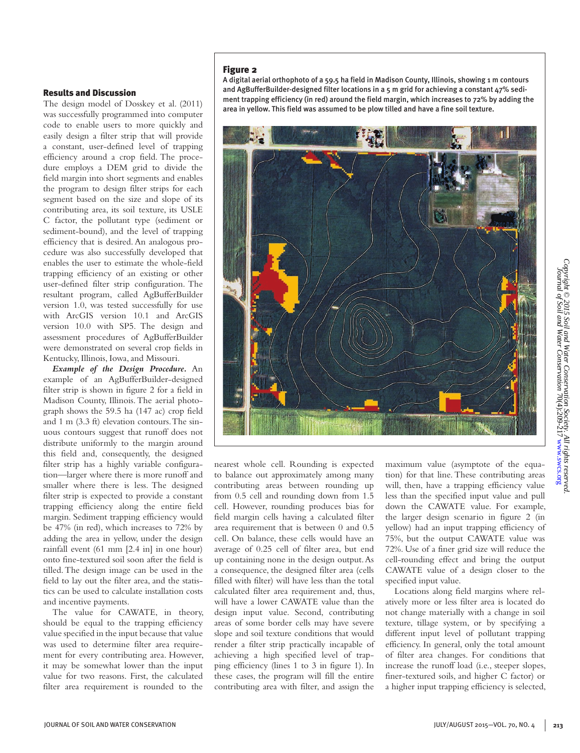#### Results and Discussion

The design model of Dosskey et al. (2011) was successfully programmed into computer code to enable users to more quickly and easily design a filter strip that will provide a constant, user-defined level of trapping efficiency around a crop field. The procedure employs a DEM grid to divide the field margin into short segments and enables the program to design filter strips for each segment based on the size and slope of its contributing area, its soil texture, its USLE C factor, the pollutant type (sediment or sediment-bound), and the level of trapping efficiency that is desired. An analogous procedure was also successfully developed that enables the user to estimate the whole-field trapping efficiency of an existing or other user-defined filter strip configuration. The resultant program, called AgBufferBuilder version 1.0, was tested successfully for use with ArcGIS version 10.1 and ArcGIS version 10.0 with SP5. The design and assessment procedures of AgBufferBuilder were demonstrated on several crop fields in Kentucky, Illinois, Iowa, and Missouri.

*Example of the Design Procedure.* An example of an AgBufferBuilder-designed filter strip is shown in figure 2 for a field in Madison County, Illinois. The aerial photograph shows the 59.5 ha (147 ac) crop field and 1 m (3.3 ft) elevation contours. The sinuous contours suggest that runoff does not distribute uniformly to the margin around this field and, consequently, the designed filter strip has a highly variable configuration—larger where there is more runoff and smaller where there is less. The designed filter strip is expected to provide a constant trapping efficiency along the entire field margin. Sediment trapping efficiency would be 47% (in red), which increases to 72% by adding the area in yellow, under the design rainfall event (61 mm [2.4 in] in one hour) onto fine-textured soil soon after the field is tilled. The design image can be used in the field to lay out the filter area, and the statistics can be used to calculate installation costs and incentive payments.

The value for CAWATE, in theory, should be equal to the trapping efficiency value specified in the input because that value was used to determine filter area requirement for every contributing area. However, it may be somewhat lower than the input value for two reasons. First, the calculated filter area requirement is rounded to the

#### Figure 2

A digital aerial orthophoto of a 59.5 ha field in Madison County, Illinois, showing 1 m contours and AgBufferBuilder-designed filter locations in a  $5$  m grid for achieving a constant  $47\%$  sediment trapping efficiency (in red) around the field margin, which increases to 72% by adding the area in yellow. This field was assumed to be plow tilled and have a fine soil texture.



nearest whole cell. Rounding is expected to balance out approximately among many contributing areas between rounding up from 0.5 cell and rounding down from 1.5 cell. However, rounding produces bias for field margin cells having a calculated filter area requirement that is between 0 and 0.5 cell. On balance, these cells would have an average of 0.25 cell of filter area, but end up containing none in the design output. As a consequence, the designed filter area (cells filled with filter) will have less than the total calculated filter area requirement and, thus, will have a lower CAWATE value than the design input value. Second, contributing areas of some border cells may have severe slope and soil texture conditions that would render a filter strip practically incapable of achieving a high specified level of trapping efficiency (lines 1 to 3 in figure 1). In these cases, the program will fill the entire contributing area with filter, and assign the

maximum value (asymptote of the equation) for that line. These contributing areas will, then, have a trapping efficiency value less than the specified input value and pull down the CAWATE value. For example, the larger design scenario in figure 2 (in yellow) had an input trapping efficiency of 75%, but the output CAWATE value was 72%. Use of a finer grid size will reduce the cell-rounding effect and bring the output CAWATE value of a design closer to the specified input value.

Locations along field margins where relatively more or less filter area is located do not change materially with a change in soil texture, tillage system, or by specifying a different input level of pollutant trapping efficiency. In general, only the total amount of filter area changes. For conditions that increase the runoff load (i.e., steeper slopes, finer-textured soils, and higher C factor) or a higher input trapping efficiency is selected,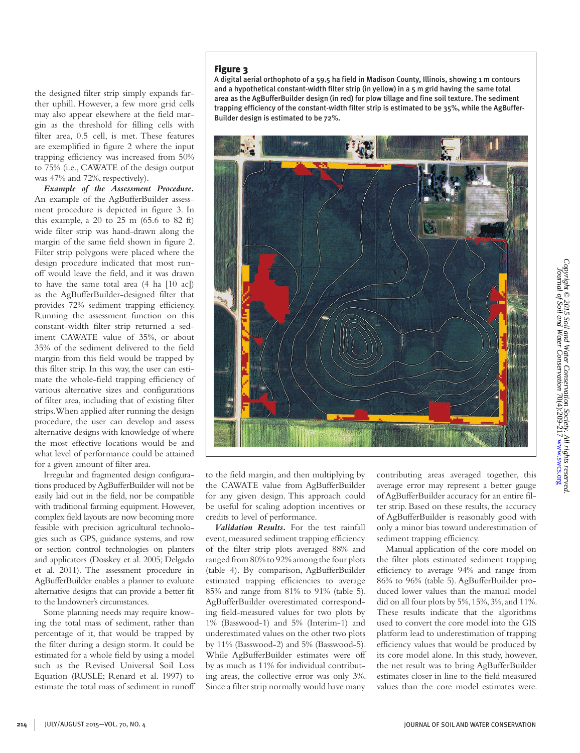the designed filter strip simply expands farther uphill. However, a few more grid cells may also appear elsewhere at the field margin as the threshold for filling cells with filter area, 0.5 cell, is met. These features are exemplified in figure 2 where the input trapping efficiency was increased from 50% to 75% (i.e., CAWATE of the design output was 47% and 72%, respectively).

*Example of the Assessment Procedure.*  An example of the AgBufferBuilder assessment procedure is depicted in figure 3. In this example, a 20 to 25 m  $(65.6 \text{ to } 82 \text{ ft})$ wide filter strip was hand-drawn along the margin of the same field shown in figure 2. Filter strip polygons were placed where the design procedure indicated that most runoff would leave the field, and it was drawn to have the same total area (4 ha [10 ac]) as the AgBufferBuilder-designed filter that provides 72% sediment trapping efficiency. Running the assessment function on this constant-width filter strip returned a sediment CAWATE value of 35%, or about 35% of the sediment delivered to the field margin from this field would be trapped by this filter strip. In this way, the user can estimate the whole-field trapping efficiency of various alternative sizes and configurations of filter area, including that of existing filter strips. When applied after running the design procedure, the user can develop and assess alternative designs with knowledge of where the most effective locations would be and what level of performance could be attained for a given amount of filter area.

Irregular and fragmented design configurations produced by AgBufferBuilder will not be easily laid out in the field, nor be compatible with traditional farming equipment. However, complex field layouts are now becoming more feasible with precision agricultural technologies such as GPS, guidance systems, and row or section control technologies on planters and applicators (Dosskey et al. 2005; Delgado et al. 2011). The assessment procedure in AgBufferBuilder enables a planner to evaluate alternative designs that can provide a better fit to the landowner's circumstances.

Some planning needs may require knowing the total mass of sediment, rather than percentage of it, that would be trapped by the filter during a design storm. It could be estimated for a whole field by using a model such as the Revised Universal Soil Loss Equation (RUSLE; Renard et al. 1997) to estimate the total mass of sediment in runoff

#### Figure 3

A digital aerial orthophoto of a 59.5 ha field in Madison County, Illinois, showing 1 m contours and a hypothetical constant-width filter strip (in yellow) in a 5 m grid having the same total area as the AgBufferBuilder design (in red) for plow tillage and fine soil texture. The sediment trapping efficiency of the constant-width filter strip is estimated to be 35%, while the AgBuffer-Builder design is estimated to be 72%.



to the field margin, and then multiplying by the CAWATE value from AgBufferBuilder for any given design. This approach could be useful for scaling adoption incentives or credits to level of performance.

*Validation Results.* For the test rainfall event, measured sediment trapping efficiency of the filter strip plots averaged 88% and ranged from 80% to 92% among the four plots (table 4). By comparison, AgBufferBuilder estimated trapping efficiencies to average 85% and range from 81% to 91% (table 5). AgBufferBuilder overestimated corresponding field-measured values for two plots by 1% (Basswood-1) and 5% (Interim-1) and underestimated values on the other two plots by 11% (Basswood-2) and 5% (Basswood-5). While AgBufferBuilder estimates were off by as much as 11% for individual contributing areas, the collective error was only 3%. Since a filter strip normally would have many contributing areas averaged together, this average error may represent a better gauge of AgBufferBuilder accuracy for an entire filter strip. Based on these results, the accuracy of AgBufferBuilder is reasonably good with only a minor bias toward underestimation of sediment trapping efficiency.

Manual application of the core model on the filter plots estimated sediment trapping efficiency to average 94% and range from 86% to 96% (table 5). AgBufferBuilder produced lower values than the manual model did on all four plots by 5%, 15%, 3%, and 11%. These results indicate that the algorithms used to convert the core model into the GIS platform lead to underestimation of trapping efficiency values that would be produced by its core model alone. In this study, however, the net result was to bring AgBufferBuilder estimates closer in line to the field measured values than the core model estimates were.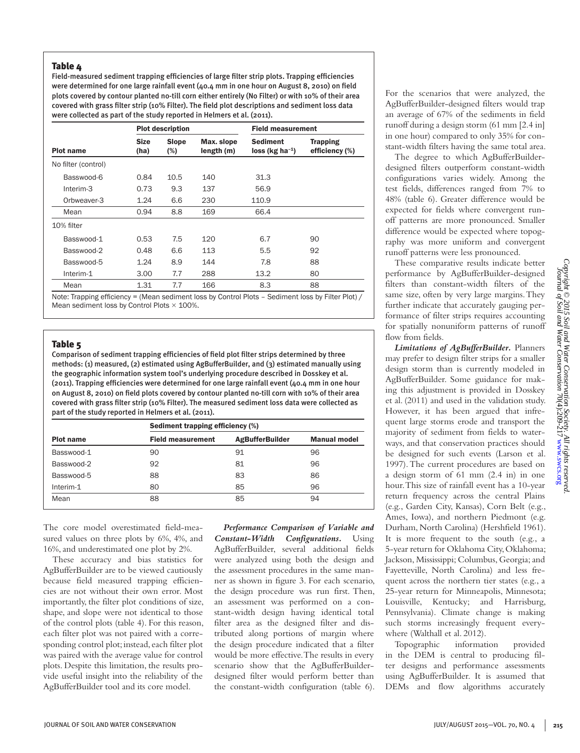### Table 4

Field-measured sediment trapping efficiencies of large filter strip plots. Trapping efficiencies were determined for one large rainfall event (40.4 mm in one hour on August 8, 2010) on field plots covered by contour planted no-till corn either entirely (No Filter) or with 10% of their area covered with grass filter strip (10% Filter). The field plot descriptions and sediment loss data were collected as part of the study reported in Helmers et al. (2011).

|                     |                     | <b>Plot description</b> |                          | <b>Field measurement</b>            |                                   |  |
|---------------------|---------------------|-------------------------|--------------------------|-------------------------------------|-----------------------------------|--|
| <b>Plot name</b>    | <b>Size</b><br>(ha) | <b>Slope</b><br>(%)     | Max. slope<br>length (m) | <b>Sediment</b><br>$loss (kg ha-1)$ | <b>Trapping</b><br>efficiency (%) |  |
| No filter (control) |                     |                         |                          |                                     |                                   |  |
| Basswood-6          | 0.84                | 10.5                    | 140                      | 31.3                                |                                   |  |
| Interim-3           | 0.73                | 9.3                     | 137                      | 56.9                                |                                   |  |
| Orbweaver-3         | 1.24                | 6.6                     | 230                      | 110.9                               |                                   |  |
| Mean                | 0.94                | 8.8                     | 169                      | 66.4                                |                                   |  |
| 10% filter          |                     |                         |                          |                                     |                                   |  |
| Basswood-1          | 0.53                | 7.5                     | 120                      | 6.7                                 | 90                                |  |
| Basswood-2          | 0.48                | 6.6                     | 113                      | 5.5                                 | 92                                |  |
| Basswood-5          | 1.24                | 8.9                     | 144                      | 7.8                                 | 88                                |  |
| Interim-1           | 3.00                | 7.7                     | 288                      | 13.2                                | 80                                |  |
| Mean                | 1.31                | 7.7                     | 166                      | 8.3                                 | 88                                |  |

Note: Trapping efficiency = (Mean sediment loss by Control Plots – Sediment loss by Filter Plot) / Mean sediment loss by Control Plots  $\times$  100%.

#### Table<sub>5</sub>

Comparison of sediment trapping efficiencies of field plot filter strips determined by three methods: (1) measured, (2) estimated using AgBufferBuilder, and (3) estimated manually using the geographic information system tool's underlying procedure described in Dosskey et al. (2011). Trapping efficiencies were determined for one large rainfall event (40.4 mm in one hour on August 8, 2010) on field plots covered by contour planted no-till corn with 10% of their area covered with grass filter strip (10% Filter). The measured sediment loss data were collected as part of the study reported in Helmers et al. (2011).

| <b>Plot name</b> | Sediment trapping efficiency (%) |                        |                     |  |  |
|------------------|----------------------------------|------------------------|---------------------|--|--|
|                  | <b>Field measurement</b>         | <b>AgBufferBuilder</b> | <b>Manual model</b> |  |  |
| Basswood-1       | 90                               | 91                     | 96                  |  |  |
| Basswood-2       | 92                               | 81                     | 96                  |  |  |
| Basswood-5       | 88                               | 83                     | 86                  |  |  |
| Interim-1        | 80                               | 85                     | 96                  |  |  |
| Mean             | 88                               | 85                     | 94                  |  |  |

The core model overestimated field-measured values on three plots by 6%, 4%, and 16%, and underestimated one plot by 2%.

These accuracy and bias statistics for AgBufferBuilder are to be viewed cautiously because field measured trapping efficiencies are not without their own error. Most importantly, the filter plot conditions of size, shape, and slope were not identical to those of the control plots (table 4). For this reason, each filter plot was not paired with a corresponding control plot; instead, each filter plot was paired with the average value for control plots. Despite this limitation, the results provide useful insight into the reliability of the AgBufferBuilder tool and its core model.

*Performance Comparison of Variable and Constant-Width Configurations.* Using AgBufferBuilder, several additional fields were analyzed using both the design and the assessment procedures in the same manner as shown in figure 3. For each scenario, the design procedure was run first. Then, an assessment was performed on a constant-width design having identical total filter area as the designed filter and distributed along portions of margin where the design procedure indicated that a filter would be more effective. The results in every scenario show that the AgBufferBuilderdesigned filter would perform better than the constant-width configuration (table 6). For the scenarios that were analyzed, the AgBufferBuilder-designed filters would trap an average of 67% of the sediments in field runoff during a design storm (61 mm [2.4 in] in one hour) compared to only 35% for constant-width filters having the same total area.

The degree to which AgBufferBuilderdesigned filters outperform constant-width configurations varies widely. Among the test fields, differences ranged from 7% to 48% (table 6). Greater difference would be expected for fields where convergent runoff patterns are more pronounced. Smaller difference would be expected where topography was more uniform and convergent runoff patterns were less pronounced.

These comparative results indicate better performance by AgBufferBuilder-designed filters than constant-width filters of the same size, often by very large margins. They further indicate that accurately gauging performance of filter strips requires accounting for spatially nonuniform patterns of runoff flow from fields.

*Limitations of AgBufferBuilder.* Planners may prefer to design filter strips for a smaller design storm than is currently modeled in AgBufferBuilder. Some guidance for making this adjustment is provided in Dosskey et al. (2011) and used in the validation study. However, it has been argued that infrequent large storms erode and transport the majority of sediment from fields to waterways, and that conservation practices should be designed for such events (Larson et al. 1997). The current procedures are based on a design storm of 61 mm (2.4 in) in one hour. This size of rainfall event has a 10-year return frequency across the central Plains (e.g., Garden City, Kansas), Corn Belt (e.g., Ames, Iowa), and northern Piedmont (e.g. Durham, North Carolina) (Hershfield 1961). It is more frequent to the south (e.g., a 5-year return for Oklahoma City, Oklahoma; Jackson, Mississippi; Columbus, Georgia; and Fayetteville, North Carolina) and less frequent across the northern tier states (e.g., a 25-year return for Minneapolis, Minnesota; Louisville, Kentucky; and Harrisburg, Pennsylvania). Climate change is making such storms increasingly frequent everywhere (Walthall et al. 2012).

Topographic information provided in the DEM is central to producing filter designs and performance assessments using AgBufferBuilder. It is assumed that DEMs and flow algorithms accurately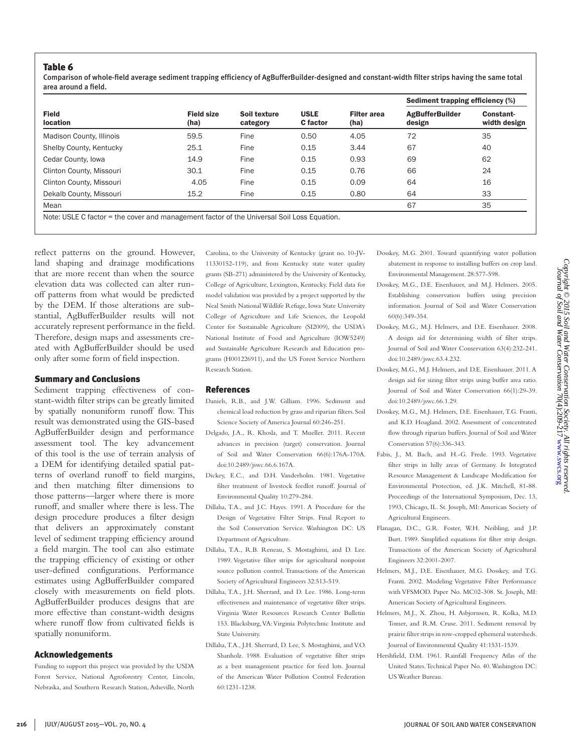Comparison of whole-field average sediment trapping efficiency of AgBufferBuilder-designed and constant-width filter strips having the same total area around a field.

| <b>Field size</b><br>(ha) | Soil texture<br>category | <b>USLE</b><br><b>C</b> factor | <b>Filter area</b><br>(ha) | <b>Sediment trapping efficiency (%)</b> |                           |
|---------------------------|--------------------------|--------------------------------|----------------------------|-----------------------------------------|---------------------------|
|                           |                          |                                |                            | <b>AgBufferBuilder</b><br>design        | Constant-<br>width design |
| 59.5                      | Fine                     | 0.50                           | 4.05                       | 72                                      | 35                        |
| 25.1                      | Fine                     | 0.15                           | 3.44                       | 67                                      | 40                        |
| 14.9                      | Fine                     | 0.15                           | 0.93                       | 69                                      | 62                        |
| 30.1                      | Fine                     | 0.15                           | 0.76                       | 66                                      | 24                        |
| 4.05                      | Fine                     | 0.15                           | 0.09                       | 64                                      | 16                        |
| 15.2                      | Fine                     | 0.15                           | 0.80                       | 64                                      | 33                        |
|                           |                          |                                |                            | 67                                      | 35                        |
|                           |                          |                                |                            |                                         |                           |

nanagement factor of the Universal Soil Loss

reflect patterns on the ground. However, land shaping and drainage modifications that are more recent than when the source elevation data was collected can alter runoff patterns from what would be predicted by the DEM. If those alterations are substantial, AgBufferBuilder results will not accurately represent performance in the field. Therefore, design maps and assessments created with AgBufferBuilder should be used only after some form of field inspection.

#### Summary and Conclusions

Sediment trapping effectiveness of constant-width filter strips can be greatly limited by spatially nonuniform runoff flow. This result was demonstrated using the GIS-based AgBufferBuilder design and performance assessment tool. The key advancement of this tool is the use of terrain analysis of a DEM for identifying detailed spatial patterns of overland runoff to field margins, and then matching filter dimensions to those patterns—larger where there is more runoff, and smaller where there is less. The design procedure produces a filter design that delivers an approximately constant level of sediment trapping efficiency around a field margin. The tool can also estimate the trapping efficiency of existing or other user-defined configurations. Performance estimates using AgBufferBuilder compared closely with measurements on field plots. AgBufferBuilder produces designs that are more effective than constant-width designs where runoff flow from cultivated fields is spatially nonuniform.

#### Acknowledgements

Funding to support this project was provided by the USDA Forest Service, National Agroforestry Center, Lincoln, Nebraska, and Southern Research Station, Asheville, North Carolina, to the University of Kentucky (grant no. 10-JV-11330152-119), and from Kentucky state water quality grants (SB-271) administered by the University of Kentucky, College of Agriculture, Lexington, Kentucky. Field data for model validation was provided by a project supported by the Neal Smith National Wildlife Refuge, Iowa State University College of Agriculture and Life Sciences, the Leopold Center for Sustainable Agriculture (SI2009), the USDA's National Institute of Food and Agriculture (IOW5249) and Sustainable Agriculture Research and Education programs (H001226911), and the US Forest Service Northern Research Station.

#### References

- Daniels, R.B., and J.W. Gilliam. 1996. Sediment and chemical load reduction by grass and riparian filters. Soil Science Society of America Journal 60:246-251.
- Delgado, J.A., R. Khosla, and T. Mueller. 2011. Recent advances in precision (target) conservation. Journal of Soil and Water Conservation 66(6):176A-170A. doi:10.2489/jswc.66.6.167A.
- Dickey, E.C., and D.H. Vanderholm. 1981. Vegetative filter treatment of livestock feedlot runoff. Journal of Environmental Quality 10:279-284.
- Dillaha, T.A., and J.C. Hayes. 1991. A Procedure for the Design of Vegetative Filter Strips. Final Report to the Soil Conservation Service. Washington DC: US Department of Agriculture.
- Dillaha, T.A., R.B. Reneau, S. Mostaghimi, and D. Lee. 1989. Vegetative filter strips for agricultural nonpoint source pollution control. Transactions of the American Society of Agricultural Engineers 32:513-519.
- Dillaha, T.A., J.H. Sherrard, and D. Lee. 1986. Long-term effectiveness and maintenance of vegetative filter strips. Virginia Water Resources Research Center Bulletin 153. Blacksburg, VA: Virginia Polytechnic Institute and State University.
- Dillaha, T.A., J.H. Sherrard, D. Lee, S. Mostaghimi, and V.O. Shanholz. 1988. Evaluation of vegetative filter strips as a best management practice for feed lots. Journal of the American Water Pollution Control Federation 60:1231-1238.
- Dosskey, M.G. 2001. Toward quantifying water pollution abatement in response to installing buffers on crop land. Environmental Management. 28:577-598.
- Dosskey, M.G., D.E. Eisenhauer, and M.J. Helmers. 2005. Establishing conservation buffers using precision information. Journal of Soil and Water Conservation 60(6):349-354.
- Dosskey, M.G., M.J. Helmers, and D.E. Eisenhauer. 2008. A design aid for determining width of filter strips. Journal of Soil and Water Conservation 63(4):232-241. doi:10.2489/jswc.63.4.232.
- Dosskey, M.G., M.J. Helmers, and D.E. Eisenhauer. 2011. A design aid for sizing filter strips using buffer area ratio. Journal of Soil and Water Conservation 66(1):29-39. doi:10.2489/jswc.66.1.29.
- Dosskey, M.G., M.J. Helmers, D.E. Eisenhauer, T.G. Franti, and K.D. Hoagland. 2002. Assessment of concentrated flow through riparian buffers. Journal of Soil and Water Conservation 57(6):336-343.
- Fabis, J., M. Bach, and H.-G. Frede. 1993. Vegetative filter strips in hilly areas of Germany. *In* Integrated Resource Management & Landscape Modification for Environmental Protection, ed. J.K. Mitchell, 81-88. Proceedings of the International Symposium, Dec. 13, 1993, Chicago, IL. St. Joseph, MI: American Society of Agricultural Engineers.
- Flanagan, D.C., G.R. Foster, W.H. Neibling, and J.P. Burt. 1989. Simplified equations for filter strip design. Transactions of the American Society of Agricultural Engineers 32:2001-2007.
- Helmers, M.J., D.E. Eisenhauer, M.G. Dosskey, and T.G. Franti. 2002. Modeling Vegetative Filter Performance with VFSMOD. Paper No. MC02-308. St. Joseph, MI: American Society of Agricultural Engineers.
- Helmers, M.J., X. Zhou, H. Asbjornsen, R. Kolka, M.D. Tomer, and R.M. Cruse. 2011. Sediment removal by prairie filter strips in row-cropped ephemeral watersheds. Journal of Environmental Quality 41:1531-1539.
- Hershfield, D.M. 1961. Rainfall Frequency Atlas of the United States. Technical Paper No. 40. Washington DC: US Weather Bureau.